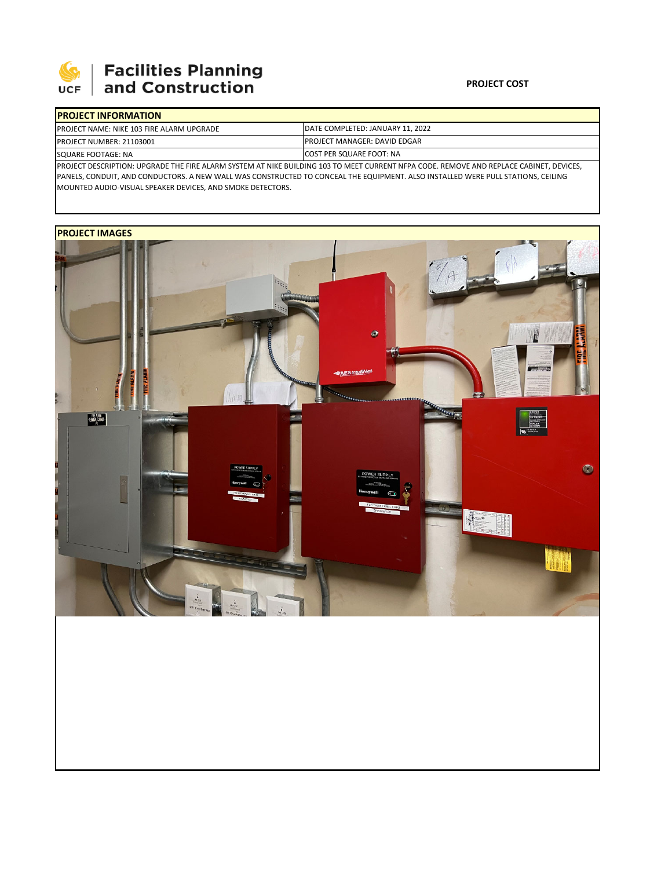

## **Facilities Planning**<br>and Construction

## **PROJECT COST**

| <b>IPROJECT INFORMATION</b>                                                                                                             |                                          |  |  |
|-----------------------------------------------------------------------------------------------------------------------------------------|------------------------------------------|--|--|
| PROJECT NAME: NIKE 103 FIRE ALARM UPGRADE                                                                                               | <b>IDATE COMPLETED: JANUARY 11, 2022</b> |  |  |
| <b>PROJECT NUMBER: 21103001</b>                                                                                                         | <b>IPROJECT MANAGER: DAVID EDGAR</b>     |  |  |
| SQUARE FOOTAGE: NA                                                                                                                      | <b>ICOST PER SQUARE FOOT: NA</b>         |  |  |
| PROJECT DESCRIPTION: UPGRADE THE FIRE ALARM SYSTEM AT NIKE BUILDING 103 TO MEET CURRENT NFPA CODE. REMOVE AND REPLACE CABINET, DEVICES, |                                          |  |  |

PANELS, CONDUIT, AND CONDUCTORS. A NEW WALL WAS CONSTRUCTED TO CONCEAL THE EQUIPMENT. ALSO INSTALLED WERE PULL STATIONS, CEILING MOUNTED AUDIO‐VISUAL SPEAKER DEVICES, AND SMOKE DETECTORS.